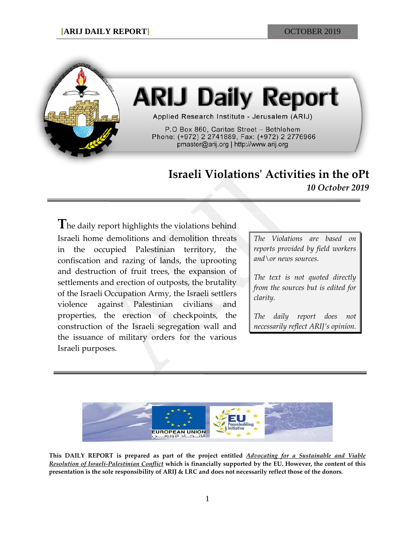

# **ARIJ Daily Report**

Applied Research Institute - Jerusalem (ARIJ)

P.O Box 860, Caritas Street - Bethlehem Phone: (+972) 2 2741889, Fax: (+972) 2 2776966 pmaster@arij.org | http://www.arij.org

## **Israeli Violations' Activities in the oPt** *10 October 2019*

The daily report highlights the violations behind Israeli home demolitions and demolition threats in the occupied Palestinian territory, the confiscation and razing of lands, the uprooting and destruction of fruit trees, the expansion of settlements and erection of outposts, the brutality of the Israeli Occupation Army, the Israeli settlers violence against Palestinian civilians and properties, the erection of checkpoints, the construction of the Israeli segregation wall and the issuance of military orders for the various Israeli purposes.

*The Violations are based on reports provided by field workers and\or news sources.*

*The text is not quoted directly from the sources but is edited for clarity.*

*The daily report does not necessarily reflect ARIJ's opinion.*



**This DAILY REPORT is prepared as part of the project entitled** *Advocating for a Sustainable and Viable Resolution of Israeli-Palestinian Conflict* **which is financially supported by the EU. However, the content of this presentation is the sole responsibility of ARIJ & LRC and does not necessarily reflect those of the donors.**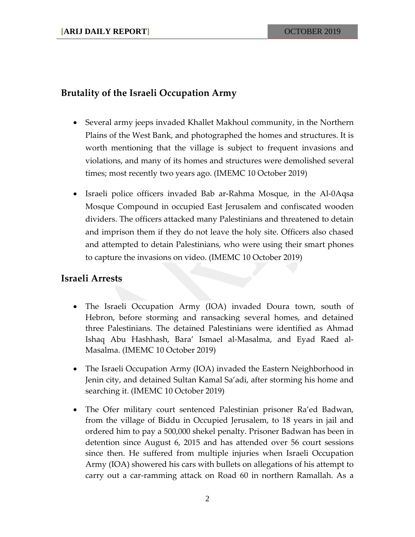### **Brutality of the Israeli Occupation Army**

- Several army jeeps invaded Khallet Makhoul community, in the Northern Plains of the West Bank, and photographed the homes and structures. It is worth mentioning that the village is subject to frequent invasions and violations, and many of its homes and structures were demolished several times; most recently two years ago. (IMEMC 10 October 2019)
- Israeli police officers invaded Bab ar-Rahma Mosque, in the Al-0Aqsa Mosque Compound in occupied East Jerusalem and confiscated wooden dividers. The officers attacked many Palestinians and threatened to detain and imprison them if they do not leave the holy site. Officers also chased and attempted to detain Palestinians, who were using their smart phones to capture the invasions on video. (IMEMC 10 October 2019)

#### **Israeli Arrests**

- The Israeli Occupation Army (IOA) invaded Doura town, south of Hebron, before storming and ransacking several homes, and detained three Palestinians. The detained Palestinians were identified as Ahmad Ishaq Abu Hashhash, Bara' Ismael al-Masalma, and Eyad Raed al-Masalma. (IMEMC 10 October 2019)
- The Israeli Occupation Army (IOA) invaded the Eastern Neighborhood in Jenin city, and detained Sultan Kamal Sa'adi, after storming his home and searching it. (IMEMC 10 October 2019)
- The Ofer military court sentenced Palestinian prisoner Ra'ed Badwan, from the village of Biddu in Occupied Jerusalem, to 18 years in jail and ordered him to pay a 500,000 shekel penalty. Prisoner Badwan has been in detention since August 6, 2015 and has attended over 56 court sessions since then. He suffered from multiple injuries when Israeli Occupation Army (IOA) showered his cars with bullets on allegations of his attempt to carry out a car-ramming attack on Road 60 in northern Ramallah. As a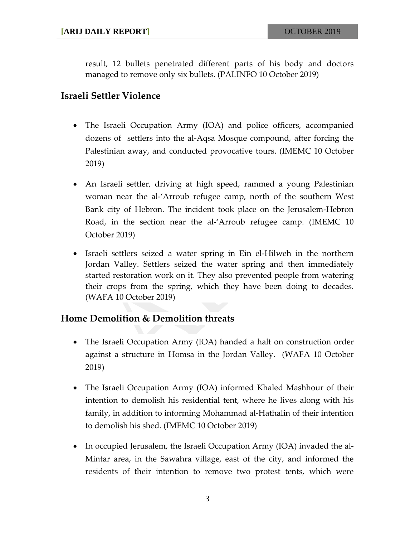result, 12 bullets penetrated different parts of his body and doctors managed to remove only six bullets. (PALINFO 10 October 2019)

#### **Israeli Settler Violence**

- The Israeli Occupation Army (IOA) and police officers, accompanied dozens of settlers into the al-Aqsa Mosque compound, after forcing the Palestinian away, and conducted provocative tours. (IMEMC 10 October 2019)
- An Israeli settler, driving at high speed, rammed a young Palestinian woman near the al-'Arroub refugee camp, north of the southern West Bank city of Hebron. The incident took place on the Jerusalem-Hebron Road, in the section near the al-'Arroub refugee camp. (IMEMC 10 October 2019)
- Israeli settlers seized a water spring in Ein el-Hilweh in the northern Jordan Valley. Settlers seized the water spring and then immediately started restoration work on it. They also prevented people from watering their crops from the spring, which they have been doing to decades. (WAFA 10 October 2019)

#### **Home Demolition & Demolition threats**

- The Israeli Occupation Army (IOA) handed a halt on construction order against a structure in Homsa in the Jordan Valley. (WAFA 10 October 2019)
- The Israeli Occupation Army (IOA) informed Khaled Mashhour of their intention to demolish his residential tent, where he lives along with his family, in addition to informing Mohammad al-Hathalin of their intention to demolish his shed. (IMEMC 10 October 2019)
- In occupied Jerusalem, the Israeli Occupation Army (IOA) invaded the al-Mintar area, in the Sawahra village, east of the city, and informed the residents of their intention to remove two protest tents, which were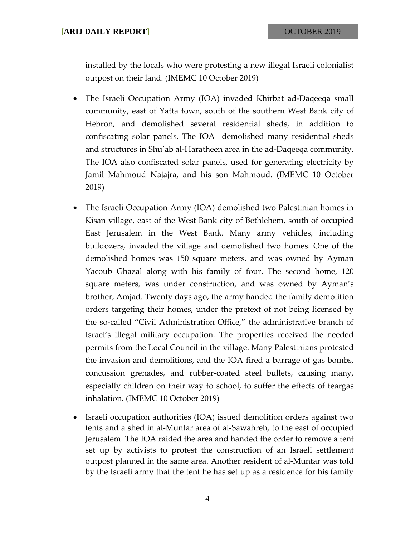installed by the locals who were protesting a new illegal Israeli colonialist outpost on their land. (IMEMC 10 October 2019)

- The Israeli Occupation Army (IOA) invaded Khirbat ad-Daqeeqa small community, east of Yatta town, south of the southern West Bank city of Hebron, and demolished several residential sheds, in addition to confiscating solar panels. The IOA demolished many residential sheds and structures in Shu'ab al-Haratheen area in the ad-Daqeeqa community. The IOA also confiscated solar panels, used for generating electricity by Jamil Mahmoud Najajra, and his son Mahmoud. (IMEMC 10 October 2019)
- The Israeli Occupation Army (IOA) demolished two Palestinian homes in Kisan village, east of the West Bank city of Bethlehem, south of occupied East Jerusalem in the West Bank. Many army vehicles, including bulldozers, invaded the village and demolished two homes. One of the demolished homes was 150 square meters, and was owned by Ayman Yacoub Ghazal along with his family of four. The second home, 120 square meters, was under construction, and was owned by Ayman's brother, Amjad. Twenty days ago, the army handed the family demolition orders targeting their homes, under the pretext of not being licensed by the so-called "Civil Administration Office," the administrative branch of Israel's illegal military occupation. The properties received the needed permits from the Local Council in the village. Many Palestinians protested the invasion and demolitions, and the IOA fired a barrage of gas bombs, concussion grenades, and rubber-coated steel bullets, causing many, especially children on their way to school, to suffer the effects of teargas inhalation. (IMEMC 10 October 2019)
- Israeli occupation authorities (IOA) issued demolition orders against two tents and a shed in al-Muntar area of al-Sawahreh, to the east of occupied Jerusalem. The IOA raided the area and handed the order to remove a tent set up by activists to protest the construction of an Israeli settlement outpost planned in the same area. Another resident of al-Muntar was told by the Israeli army that the tent he has set up as a residence for his family